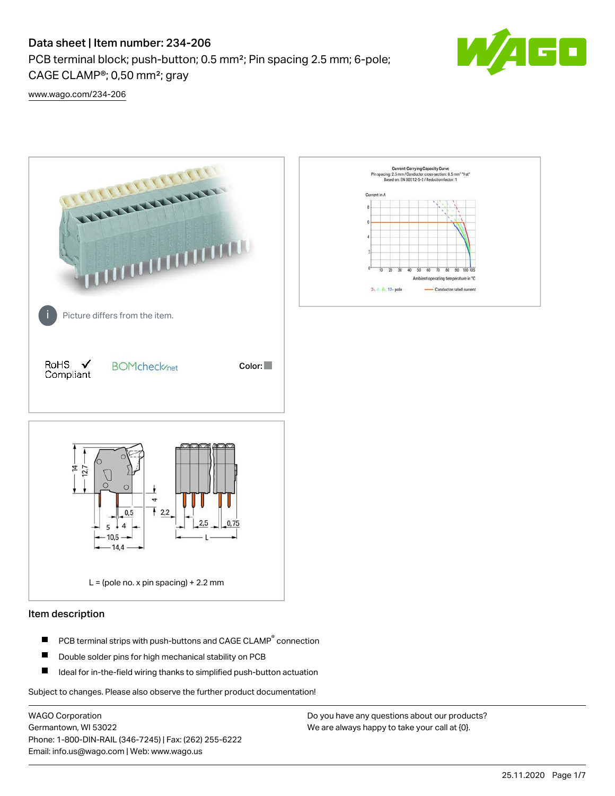# Data sheet | Item number: 234-206

PCB terminal block; push-button; 0.5 mm²; Pin spacing 2.5 mm; 6-pole; CAGE CLAMP®; 0,50 mm²; gray



[www.wago.com/234-206](http://www.wago.com/234-206)



### Item description

- PCB terminal strips with push-buttons and CAGE CLAMP<sup>®</sup> connection П
- П Double solder pins for high mechanical stability on PCB
- П Ideal for in-the-field wiring thanks to simplified push-button actuation

Subject to changes. Please also observe the further product documentation!

WAGO Corporation Germantown, WI 53022 Phone: 1-800-DIN-RAIL (346-7245) | Fax: (262) 255-6222 Email: info.us@wago.com | Web: www.wago.us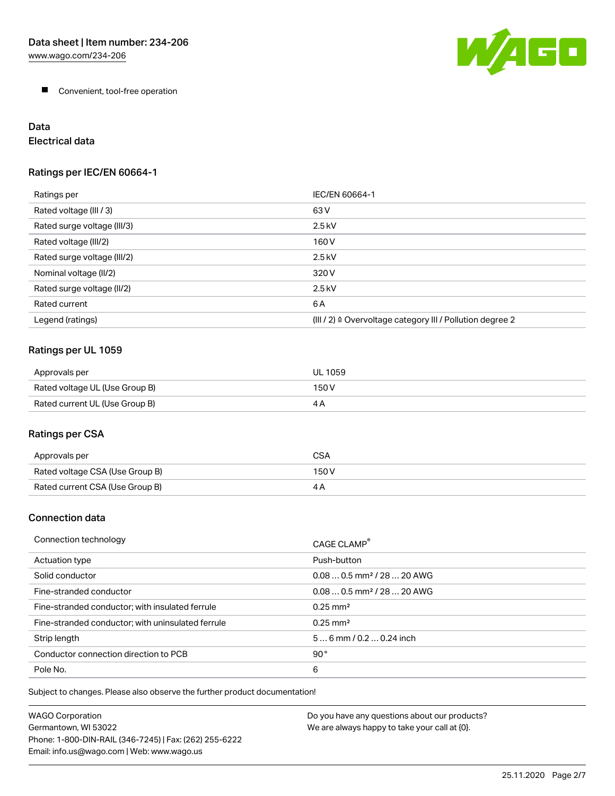

**Convenient, tool-free operation** 

# Data

Electrical data

## Ratings per IEC/EN 60664-1

| Ratings per                 | IEC/EN 60664-1                                                        |
|-----------------------------|-----------------------------------------------------------------------|
| Rated voltage (III / 3)     | 63 V                                                                  |
| Rated surge voltage (III/3) | $2.5$ kV                                                              |
| Rated voltage (III/2)       | 160 V                                                                 |
| Rated surge voltage (III/2) | $2.5$ kV                                                              |
| Nominal voltage (II/2)      | 320 V                                                                 |
| Rated surge voltage (II/2)  | $2.5$ kV                                                              |
| Rated current               | 6A                                                                    |
| Legend (ratings)            | $(III / 2)$ $\triangle$ Overvoltage category III / Pollution degree 2 |

# Ratings per UL 1059

| Approvals per                  | UL 1059 |
|--------------------------------|---------|
| Rated voltage UL (Use Group B) | 150 V   |
| Rated current UL (Use Group B) |         |

# Ratings per CSA

| Approvals per                   | CSA   |
|---------------------------------|-------|
| Rated voltage CSA (Use Group B) | 150 V |
| Rated current CSA (Use Group B) |       |

## Connection data

| Connection technology                             | CAGE CLAMP <sup>®</sup>                |
|---------------------------------------------------|----------------------------------------|
| Actuation type                                    | Push-button                            |
| Solid conductor                                   | $0.080.5$ mm <sup>2</sup> / 28  20 AWG |
| Fine-stranded conductor                           | $0.080.5$ mm <sup>2</sup> / 28  20 AWG |
| Fine-stranded conductor; with insulated ferrule   | $0.25 \text{ mm}^2$                    |
| Fine-stranded conductor; with uninsulated ferrule | $0.25 \text{ mm}^2$                    |
| Strip length                                      | $56$ mm $/ 0.20.24$ inch               |
| Conductor connection direction to PCB             | 90°                                    |
| Pole No.                                          | 6                                      |

Subject to changes. Please also observe the further product documentation!

| WAGO Corporation                                       | Do you have any questions about our products? |
|--------------------------------------------------------|-----------------------------------------------|
| Germantown. WI 53022                                   | We are always happy to take your call at {0}. |
| Phone: 1-800-DIN-RAIL (346-7245)   Fax: (262) 255-6222 |                                               |
| Email: info.us@wago.com   Web: www.wago.us             |                                               |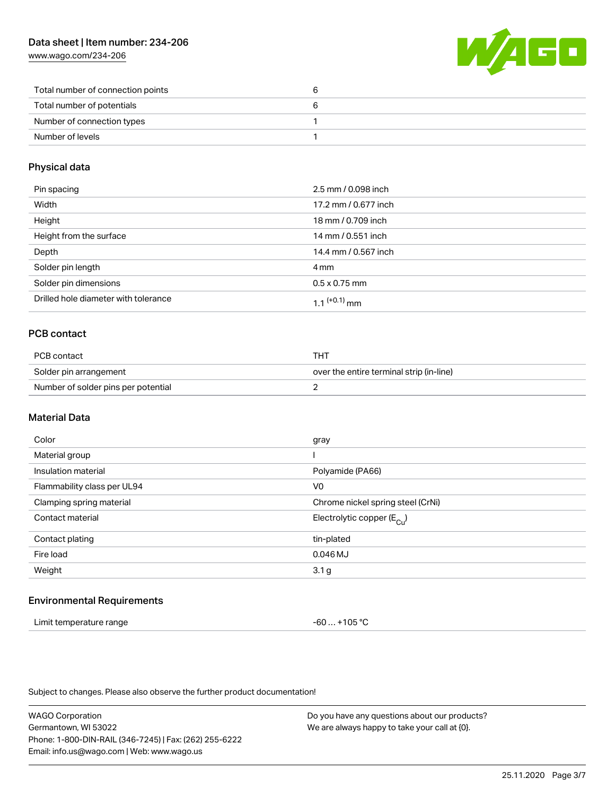## Data sheet | Item number: 234-206

[www.wago.com/234-206](http://www.wago.com/234-206)



| Total number of connection points |  |
|-----------------------------------|--|
| Total number of potentials        |  |
| Number of connection types        |  |
| Number of levels                  |  |

#### Physical data

| Pin spacing                          | 2.5 mm / 0.098 inch  |
|--------------------------------------|----------------------|
| Width                                | 17.2 mm / 0.677 inch |
| Height                               | 18 mm / 0.709 inch   |
| Height from the surface              | 14 mm / 0.551 inch   |
| Depth                                | 14.4 mm / 0.567 inch |
| Solder pin length                    | 4 mm                 |
| Solder pin dimensions                | $0.5 \times 0.75$ mm |
| Drilled hole diameter with tolerance | $11^{(+0.1)}$ mm     |

## PCB contact

| PCB contact                         | тнт                                      |
|-------------------------------------|------------------------------------------|
| Solder pin arrangement              | over the entire terminal strip (in-line) |
| Number of solder pins per potential |                                          |

#### Material Data

| Color                       | gray                                  |
|-----------------------------|---------------------------------------|
| Material group              |                                       |
| Insulation material         | Polyamide (PA66)                      |
| Flammability class per UL94 | V <sub>0</sub>                        |
| Clamping spring material    | Chrome nickel spring steel (CrNi)     |
| Contact material            | Electrolytic copper $(E_{\text{Cl}})$ |
| Contact plating             | tin-plated                            |
| Fire load                   | 0.046 MJ                              |
| Weight                      | 3.1 <sub>g</sub>                      |
|                             |                                       |

#### Environmental Requirements

| Limit temperature range | -60  +105 °C |
|-------------------------|--------------|
|-------------------------|--------------|

Subject to changes. Please also observe the further product documentation!

WAGO Corporation Germantown, WI 53022 Phone: 1-800-DIN-RAIL (346-7245) | Fax: (262) 255-6222 Email: info.us@wago.com | Web: www.wago.us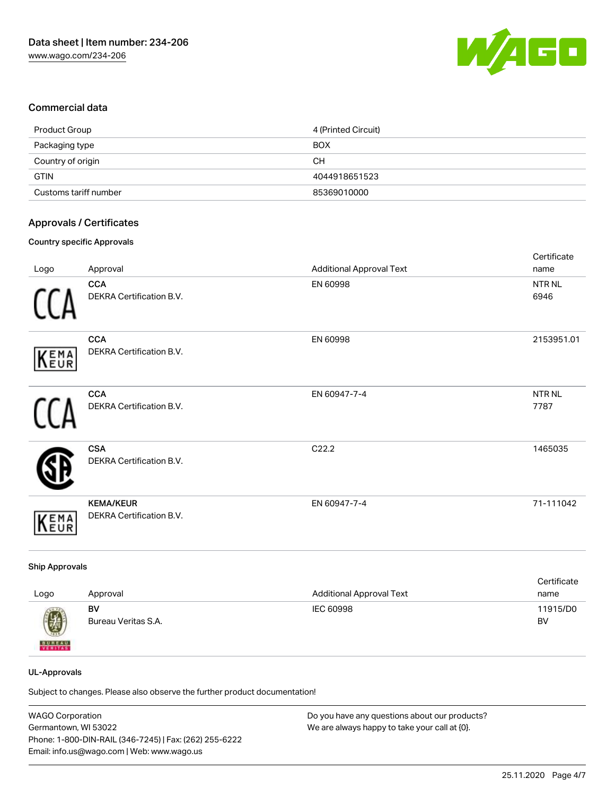

#### Commercial data

| Product Group         | 4 (Printed Circuit) |
|-----------------------|---------------------|
| Packaging type        | <b>BOX</b>          |
| Country of origin     | CН                  |
| <b>GTIN</b>           | 4044918651523       |
| Customs tariff number | 85369010000         |

#### Approvals / Certificates

#### Country specific Approvals

|            |                                              |                                 | Certificate               |
|------------|----------------------------------------------|---------------------------------|---------------------------|
| Logo       | Approval                                     | <b>Additional Approval Text</b> | name                      |
|            | <b>CCA</b><br>DEKRA Certification B.V.       | EN 60998                        | NTR <sub>NL</sub><br>6946 |
| KEMA       | <b>CCA</b><br>DEKRA Certification B.V.       | EN 60998                        | 2153951.01                |
|            | <b>CCA</b><br>DEKRA Certification B.V.       | EN 60947-7-4                    | NTR <sub>NL</sub><br>7787 |
|            | <b>CSA</b><br>DEKRA Certification B.V.       | C22.2                           | 1465035                   |
| <b>EMA</b> | <b>KEMA/KEUR</b><br>DEKRA Certification B.V. | EN 60947-7-4                    | 71-111042                 |

#### Ship Approvals

| Logo          | Approval            | <b>Additional Approval Text</b> | Certificate<br>name |
|---------------|---------------------|---------------------------------|---------------------|
| 0             | BV                  | IEC 60998                       | 11915/D0            |
| <b>BUREAU</b> | Bureau Veritas S.A. |                                 | BV                  |

#### UL-Approvals

Subject to changes. Please also observe the further product documentation!

| WAGO Corporation                                       | Do you have any questions about our products? |
|--------------------------------------------------------|-----------------------------------------------|
| Germantown, WI 53022                                   | We are always happy to take your call at {0}. |
| Phone: 1-800-DIN-RAIL (346-7245)   Fax: (262) 255-6222 |                                               |
| Email: info.us@wago.com   Web: www.wago.us             |                                               |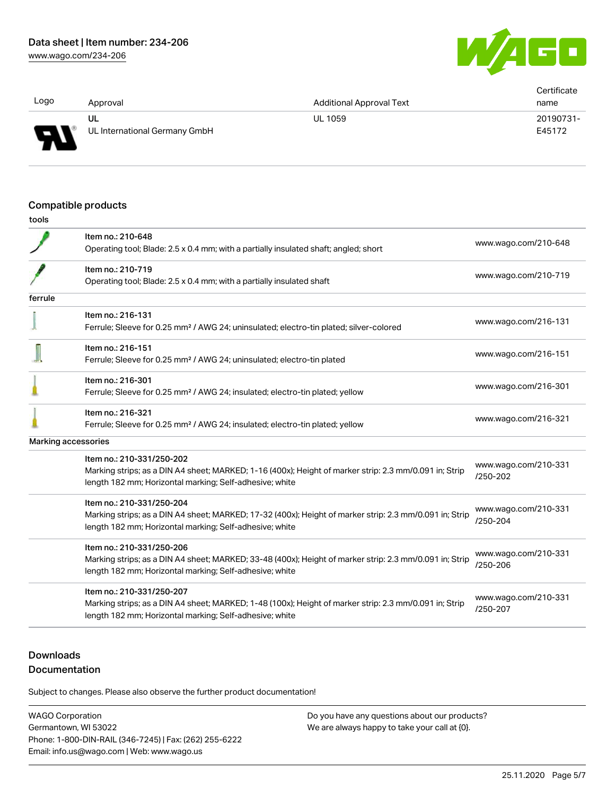G O

| Logo         | Approval                      | <b>Additional Approval Text</b> | Certificate<br>name |
|--------------|-------------------------------|---------------------------------|---------------------|
| p            | UL                            | <b>UL 1059</b>                  | 20190731-           |
| $\mathbf{r}$ | UL International Germany GmbH |                                 | E45172              |

#### Compatible products

|         | Item no.: 210-648                                                                                       | www.wago.com/210-648                 |
|---------|---------------------------------------------------------------------------------------------------------|--------------------------------------|
|         | Operating tool; Blade: 2.5 x 0.4 mm; with a partially insulated shaft; angled; short                    |                                      |
|         | Item no.: 210-719                                                                                       |                                      |
|         | Operating tool; Blade: 2.5 x 0.4 mm; with a partially insulated shaft                                   | www.wago.com/210-719                 |
| ferrule |                                                                                                         |                                      |
|         | Item no.: 216-131                                                                                       |                                      |
|         | Ferrule; Sleeve for 0.25 mm <sup>2</sup> / AWG 24; uninsulated; electro-tin plated; silver-colored      | www.wago.com/216-131                 |
|         | Item no.: 216-151                                                                                       |                                      |
|         | Ferrule; Sleeve for 0.25 mm <sup>2</sup> / AWG 24; uninsulated; electro-tin plated                      | www.wago.com/216-151                 |
|         | Item no.: 216-301                                                                                       |                                      |
|         | Ferrule; Sleeve for 0.25 mm <sup>2</sup> / AWG 24; insulated; electro-tin plated; yellow                | www.wago.com/216-301                 |
|         | Item no.: 216-321                                                                                       |                                      |
|         | Ferrule; Sleeve for 0.25 mm <sup>2</sup> / AWG 24; insulated; electro-tin plated; yellow                | www.wago.com/216-321                 |
|         | Marking accessories                                                                                     |                                      |
|         | Item no.: 210-331/250-202                                                                               |                                      |
|         | Marking strips; as a DIN A4 sheet; MARKED; 1-16 (400x); Height of marker strip: 2.3 mm/0.091 in; Strip  | www.wago.com/210-331<br>$/250 - 202$ |
|         | length 182 mm; Horizontal marking; Self-adhesive; white                                                 |                                      |
|         | Item no.: 210-331/250-204                                                                               | www.wago.com/210-331                 |
|         | Marking strips; as a DIN A4 sheet; MARKED; 17-32 (400x); Height of marker strip: 2.3 mm/0.091 in; Strip | /250-204                             |
|         | length 182 mm; Horizontal marking; Self-adhesive; white                                                 |                                      |
|         | Item no.: 210-331/250-206                                                                               |                                      |
|         | Marking strips; as a DIN A4 sheet; MARKED; 33-48 (400x); Height of marker strip: 2.3 mm/0.091 in; Strip | www.wago.com/210-331<br>/250-206     |
|         | length 182 mm; Horizontal marking; Self-adhesive; white                                                 |                                      |
|         | Item no.: 210-331/250-207                                                                               | www.wago.com/210-331                 |
|         | Marking strips; as a DIN A4 sheet; MARKED; 1-48 (100x); Height of marker strip: 2.3 mm/0.091 in; Strip  | /250-207                             |
|         | length 182 mm; Horizontal marking; Self-adhesive; white                                                 |                                      |
|         |                                                                                                         |                                      |

# **Downloads**

## Documentation

Subject to changes. Please also observe the further product documentation!

WAGO Corporation Germantown, WI 53022 Phone: 1-800-DIN-RAIL (346-7245) | Fax: (262) 255-6222 Email: info.us@wago.com | Web: www.wago.us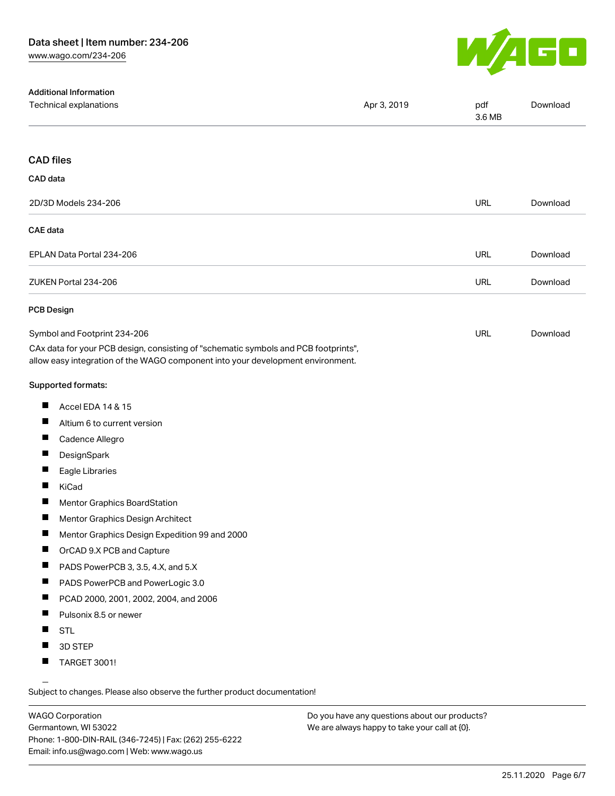

| <b>Additional Information</b>                                                                                                                                          |             |               |          |
|------------------------------------------------------------------------------------------------------------------------------------------------------------------------|-------------|---------------|----------|
| Technical explanations                                                                                                                                                 | Apr 3, 2019 | pdf<br>3.6 MB | Download |
| <b>CAD files</b>                                                                                                                                                       |             |               |          |
|                                                                                                                                                                        |             |               |          |
| CAD data                                                                                                                                                               |             |               |          |
| 2D/3D Models 234-206                                                                                                                                                   |             | <b>URL</b>    | Download |
| <b>CAE</b> data                                                                                                                                                        |             |               |          |
| EPLAN Data Portal 234-206                                                                                                                                              |             | <b>URL</b>    | Download |
| ZUKEN Portal 234-206                                                                                                                                                   |             | <b>URL</b>    | Download |
| <b>PCB Design</b>                                                                                                                                                      |             |               |          |
| Symbol and Footprint 234-206                                                                                                                                           |             | <b>URL</b>    | Download |
| CAx data for your PCB design, consisting of "schematic symbols and PCB footprints",<br>allow easy integration of the WAGO component into your development environment. |             |               |          |
| Supported formats:                                                                                                                                                     |             |               |          |
| ш<br>Accel EDA 14 & 15                                                                                                                                                 |             |               |          |
| ш<br>Altium 6 to current version                                                                                                                                       |             |               |          |
| ш<br>Cadence Allegro                                                                                                                                                   |             |               |          |
| П<br>DesignSpark                                                                                                                                                       |             |               |          |
| ш<br>Eagle Libraries                                                                                                                                                   |             |               |          |
| П<br>KiCad                                                                                                                                                             |             |               |          |
| $\blacksquare$<br><b>Mentor Graphics BoardStation</b>                                                                                                                  |             |               |          |
| ш<br>Mentor Graphics Design Architect                                                                                                                                  |             |               |          |
| H<br>Mentor Graphics Design Expedition 99 and 2000                                                                                                                     |             |               |          |
| ш<br>OrCAD 9.X PCB and Capture                                                                                                                                         |             |               |          |
| ш<br>PADS PowerPCB 3, 3.5, 4.X, and 5.X                                                                                                                                |             |               |          |
| П<br>PADS PowerPCB and PowerLogic 3.0                                                                                                                                  |             |               |          |
| ш<br>PCAD 2000, 2001, 2002, 2004, and 2006                                                                                                                             |             |               |          |
| ш<br>Pulsonix 8.5 or newer                                                                                                                                             |             |               |          |
| ш<br><b>STL</b>                                                                                                                                                        |             |               |          |
| 3D STEP                                                                                                                                                                |             |               |          |
| <b>TARGET 3001!</b>                                                                                                                                                    |             |               |          |

Subject to changes. Please also observe the further product documentation!

WAGO Corporation Germantown, WI 53022 Phone: 1-800-DIN-RAIL (346-7245) | Fax: (262) 255-6222 Email: info.us@wago.com | Web: www.wago.us